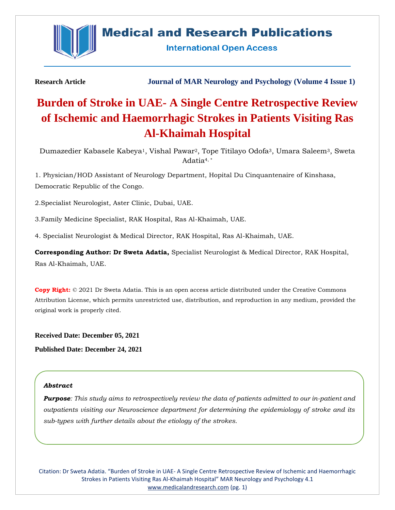

## **Medical and Research Publications**

**International Open Access** 

**Research Article Journal of MAR Neurology and Psychology (Volume 4 Issue 1)**

# **Burden of Stroke in UAE- A Single Centre Retrospective Review of Ischemic and Haemorrhagic Strokes in Patients Visiting Ras Al-Khaimah Hospital**

Dumazedier Kabasele Kabeya<sup>1</sup>, Vishal Pawar<sup>2</sup>, Tope Titilayo Odofa<sup>3</sup>, Umara Saleem<sup>3</sup>, Sweta Adatia4, \*

1. Physician/HOD Assistant of Neurology Department, Hopital Du Cinquantenaire of Kinshasa, Democratic Republic of the Congo.

2.Specialist Neurologist, Aster Clinic, Dubai, UAE.

3.Family Medicine Specialist, RAK Hospital, Ras Al-Khaimah, UAE.

4. Specialist Neurologist & Medical Director, RAK Hospital, Ras Al-Khaimah, UAE.

**Corresponding Author: Dr Sweta Adatia,** Specialist Neurologist & Medical Director, RAK Hospital, Ras Al-Khaimah, UAE.

**Copy Right:** © 2021 Dr Sweta Adatia. This is an open access article distributed under the Creative Commons Attribution License, which permits unrestricted use, distribution, and reproduction in any medium, provided the original work is properly cited.

**Received Date: December 05, 2021 Published Date: December 24, 2021**

## *Abstract*

*Purpose: This study aims to retrospectively review the data of patients admitted to our in-patient and outpatients visiting our Neuroscience department for determining the epidemiology of stroke and its sub-types with further details about the etiology of the strokes.*

Citation: Dr Sweta Adatia. "Burden of Stroke in UAE- A Single Centre Retrospective Review of Ischemic and Haemorrhagic Strokes in Patients Visiting Ras Al-Khaimah Hospital" MAR Neurology and Psychology 4.1 [www.medicalandresearch.com](http://www.medicalandresearch.com/) (pg. 1)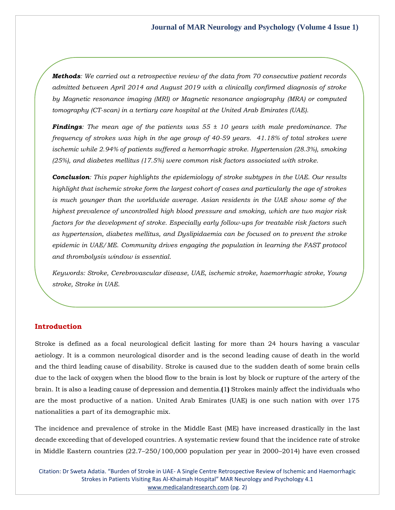*Methods: We carried out a retrospective review of the data from 70 consecutive patient records admitted between April 2014 and August 2019 with a clinically confirmed diagnosis of stroke by Magnetic resonance imaging (MRI) or Magnetic resonance angiography (MRA) or computed tomography (CT-scan) in a tertiary care hospital at the United Arab Emirates (UAE).*

*Findings: The mean age of the patients was 55 ± 10 years with male predominance. The frequency of strokes was high in the age group of 40-59 years. 41.18% of total strokes were ischemic while 2.94% of patients suffered a hemorrhagic stroke. Hypertension (28.3%), smoking (25%), and diabetes mellitus (17.5%) were common risk factors associated with stroke.* 

*Conclusion: This paper highlights the epidemiology of stroke subtypes in the UAE. Our results highlight that ischemic stroke form the largest cohort of cases and particularly the age of strokes*  is much younger than the worldwide average. Asian residents in the UAE show some of the *highest prevalence of uncontrolled high blood pressure and smoking, which are two major risk factors for the development of stroke. Especially early follow-ups for treatable risk factors such as hypertension, diabetes mellitus, and Dyslipidaemia can be focused on to prevent the stroke epidemic in UAE/ME. Community drives engaging the population in learning the FAST protocol and thrombolysis window is essential.* 

*Keywords: Stroke, Cerebrovascular disease, UAE, ischemic stroke, haemorrhagic stroke, Young stroke, Stroke in UAE.*

## **Introduction**

Stroke is defined as a focal neurological deficit lasting for more than 24 hours having a vascular aetiology. It is a common neurological disorder and is the second leading cause of death in the world and the third leading cause of disability. Stroke is caused due to the sudden death of some brain cells due to the lack of oxygen when the blood flow to the brain is lost by block or rupture of the artery of the brain. It is also a leading cause of depression and dementia.**(**1**)** Strokes mainly affect the individuals who are the most productive of a nation. United Arab Emirates (UAE) is one such nation with over 175 nationalities a part of its demographic mix.

The incidence and prevalence of stroke in the Middle East (ME) have increased drastically in the last decade exceeding that of developed countries. A systematic review found that the incidence rate of stroke in Middle Eastern countries (22.7–250/100,000 population per year in 2000–2014) have even crossed

Citation: Dr Sweta Adatia. "Burden of Stroke in UAE- A Single Centre Retrospective Review of Ischemic and Haemorrhagic Strokes in Patients Visiting Ras Al-Khaimah Hospital" MAR Neurology and Psychology 4.1 [www.medicalandresearch.com](http://www.medicalandresearch.com/) (pg. 2)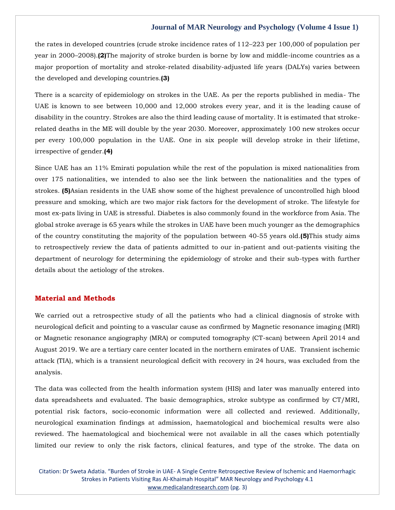the rates in developed countries (crude stroke incidence rates of 112–223 per 100,000 of population per year in 2000–2008).**(2)**The majority of stroke burden is borne by low and middle-income countries as a major proportion of mortality and stroke-related disability-adjusted life years (DALYs) varies between the developed and developing countries.**(3)**

There is a scarcity of epidemiology on strokes in the UAE. As per the reports published in media- The UAE is known to see between 10,000 and 12,000 strokes every year, and it is the leading cause of disability in the country. Strokes are also the third leading cause of mortality. It is estimated that strokerelated deaths in the ME will double by the year 2030. Moreover, approximately 100 new strokes occur per every 100,000 population in the UAE. One in six people will develop stroke in their lifetime, irrespective of gender.**(4)**

Since UAE has an 11% Emirati population while the rest of the population is mixed nationalities from over 175 nationalities, we intended to also see the link between the nationalities and the types of strokes. **(5)**Asian residents in the UAE show some of the highest prevalence of uncontrolled high blood pressure and smoking, which are two major risk factors for the development of stroke. The lifestyle for most ex-pats living in UAE is stressful. Diabetes is also commonly found in the workforce from Asia. The global stroke average is 65 years while the strokes in UAE have been much younger as the demographics of the country constituting the majority of the population between 40-55 years old.**(5)**This study aims to retrospectively review the data of patients admitted to our in-patient and out-patients visiting the department of neurology for determining the epidemiology of stroke and their sub-types with further details about the aetiology of the strokes.

## **Material and Methods**

We carried out a retrospective study of all the patients who had a clinical diagnosis of stroke with neurological deficit and pointing to a vascular cause as confirmed by Magnetic resonance imaging (MRI) or Magnetic resonance angiography (MRA) or computed tomography (CT-scan) between April 2014 and August 2019. We are a tertiary care center located in the northern emirates of UAE. Transient ischemic attack (TIA), which is a transient neurological deficit with recovery in 24 hours, was excluded from the analysis.

The data was collected from the health information system (HIS) and later was manually entered into data spreadsheets and evaluated. The basic demographics, stroke subtype as confirmed by CT/MRI, potential risk factors, socio-economic information were all collected and reviewed. Additionally, neurological examination findings at admission, haematological and biochemical results were also reviewed. The haematological and biochemical were not available in all the cases which potentially limited our review to only the risk factors, clinical features, and type of the stroke. The data on

Citation: Dr Sweta Adatia. "Burden of Stroke in UAE- A Single Centre Retrospective Review of Ischemic and Haemorrhagic Strokes in Patients Visiting Ras Al-Khaimah Hospital" MAR Neurology and Psychology 4.1 [www.medicalandresearch.com](http://www.medicalandresearch.com/) (pg. 3)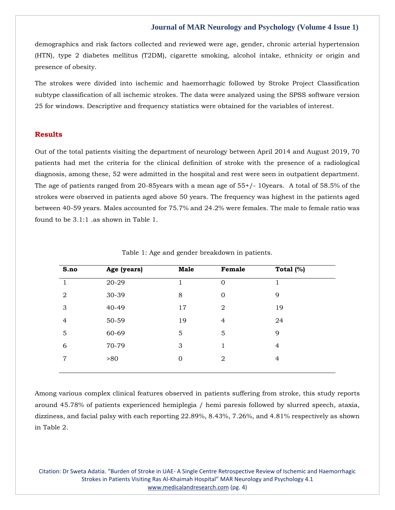demographics and risk factors collected and reviewed were age, gender, chronic arterial hypertension (HTN), type 2 diabetes mellitus (T2DM), cigarette smoking, alcohol intake, ethnicity or origin and presence of obesity.

The strokes were divided into ischemic and haemorrhagic followed by Stroke Project Classification subtype classification of all ischemic strokes. The data were analyzed using the SPSS software version 25 for windows. Descriptive and frequency statistics were obtained for the variables of interest.

## **Results**

Out of the total patients visiting the department of neurology between April 2014 and August 2019, 70 patients had met the criteria for the clinical definition of stroke with the presence of a radiological diagnosis, among these, 52 were admitted in the hospital and rest were seen in outpatient department. The age of patients ranged from 20-85years with a mean age of 55+/- 10years. A total of 58.5% of the strokes were observed in patients aged above 50 years. The frequency was highest in the patients aged between 40-59 years. Males accounted for 75.7% and 24.2% were females. The male to female ratio was found to be 3.1:1 .as shown in Table 1.

| S.no           | Age (years) | <b>Male</b>    | Female         | Total $(\%)$   |
|----------------|-------------|----------------|----------------|----------------|
|                | 20-29       |                | $\mathbf 0$    |                |
| $\overline{2}$ | 30-39       | 8              | 0              | 9              |
| 3              | 40-49       | 17             | $\overline{2}$ | 19             |
| 4              | 50-59       | 19             | $\overline{4}$ | 24             |
| 5              | 60-69       | 5              | 5              | 9              |
| 6              | 70-79       | 3              | 1              | $\overline{4}$ |
| $\overline{7}$ | >80         | $\overline{0}$ | $\overline{2}$ | $\overline{4}$ |
|                |             |                |                |                |

Table 1: Age and gender breakdown in patients.

Among various complex clinical features observed in patients suffering from stroke, this study reports around 45.78% of patients experienced hemiplegia / hemi paresis followed by slurred speech, ataxia, dizziness, and facial palsy with each reporting 22.89%, 8.43%, 7.26%, and 4.81% respectively as shown in Table 2.

Citation: Dr Sweta Adatia. "Burden of Stroke in UAE- A Single Centre Retrospective Review of Ischemic and Haemorrhagic Strokes in Patients Visiting Ras Al-Khaimah Hospital" MAR Neurology and Psychology 4.1 [www.medicalandresearch.com](http://www.medicalandresearch.com/) (pg. 4)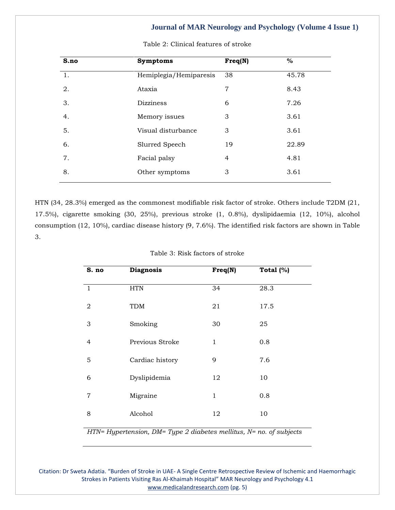| S.no | <b>Symptoms</b>        | Freq(N)        | $\%$  |
|------|------------------------|----------------|-------|
| 1.   | Hemiplegia/Hemiparesis | 38             | 45.78 |
| 2.   | Ataxia                 | $\overline{7}$ | 8.43  |
| 3.   | <b>Dizziness</b>       | 6              | 7.26  |
| 4.   | Memory issues          | 3              | 3.61  |
| 5.   | Visual disturbance     | 3              | 3.61  |
| 6.   | Slurred Speech         | 19             | 22.89 |
| 7.   | Facial palsy           | 4              | 4.81  |
| 8.   | Other symptoms         | 3              | 3.61  |

Table 2: Clinical features of stroke

HTN (34, 28.3%) emerged as the commonest modifiable risk factor of stroke. Others include T2DM (21, 17.5%), cigarette smoking (30, 25%), previous stroke (1, 0.8%), dyslipidaemia (12, 10%), alcohol consumption (12, 10%), cardiac disease history (9, 7.6%). The identified risk factors are shown in Table 3.

| S. no          | <b>Diagnosis</b> | Freq(N) | Total $(%)$ |  |
|----------------|------------------|---------|-------------|--|
| $\overline{1}$ | <b>HTN</b>       | 34      | 28.3        |  |
| 2              | <b>TDM</b>       | 21      | 17.5        |  |
| 3              | Smoking          | 30      | 25          |  |
| 4              | Previous Stroke  | 1       | 0.8         |  |
| 5              | Cardiac history  | 9       | 7.6         |  |
| 6              | Dyslipidemia     | 12      | 10          |  |
| $\overline{7}$ | Migraine         | 1       | 0.8         |  |
| 8              | Alcohol          | 12      | 10          |  |

#### Table 3: Risk factors of stroke

*HTN= Hypertension, DM= Type 2 diabetes mellitus, N= no. of subjects*

Citation: Dr Sweta Adatia. "Burden of Stroke in UAE- A Single Centre Retrospective Review of Ischemic and Haemorrhagic Strokes in Patients Visiting Ras Al-Khaimah Hospital" MAR Neurology and Psychology 4.1 [www.medicalandresearch.com](http://www.medicalandresearch.com/) (pg. 5)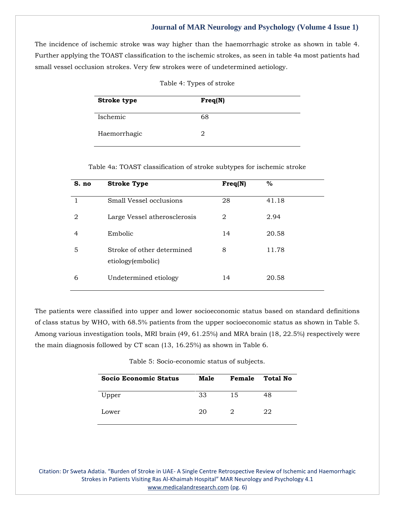The incidence of ischemic stroke was way higher than the haemorrhagic stroke as shown in table 4. Further applying the TOAST classification to the ischemic strokes, as seen in table 4a most patients had small vessel occlusion strokes. Very few strokes were of undetermined aetiology.

| <b>Stroke type</b> | Freq(N) |
|--------------------|---------|
| Ischemic           | 68      |
| Haemorrhagic       | 2       |

| Table 4: Types of stroke |  |  |
|--------------------------|--|--|
|--------------------------|--|--|

| S. no | <b>Stroke Type</b>                              | Freq(N) | $\%$  |
|-------|-------------------------------------------------|---------|-------|
|       | Small Vessel occlusions                         | 28      | 41.18 |
| 2     | Large Vessel atherosclerosis                    | 2       | 2.94  |
| 4     | Embolic                                         | 14      | 20.58 |
| 5     | Stroke of other determined<br>etiology(embolic) | 8       | 11.78 |
| 6     | Undetermined etiology                           | 14      | 20.58 |

The patients were classified into upper and lower socioeconomic status based on standard definitions of class status by WHO, with 68.5% patients from the upper socioeconomic status as shown in Table 5. Among various investigation tools, MRI brain (49, 61.25%) and MRA brain (18, 22.5%) respectively were the main diagnosis followed by CT scan (13, 16.25%) as shown in Table 6.

| Table 5: Socio-economic status of subjects. |  |
|---------------------------------------------|--|
|---------------------------------------------|--|

| <b>Socio Economic Status</b> | Male | Female | Total No |
|------------------------------|------|--------|----------|
| Upper                        | 33   | 15     | 48       |
| Lower                        | 20   | 2      | 22       |

Citation: Dr Sweta Adatia. "Burden of Stroke in UAE- A Single Centre Retrospective Review of Ischemic and Haemorrhagic Strokes in Patients Visiting Ras Al-Khaimah Hospital" MAR Neurology and Psychology 4.1 [www.medicalandresearch.com](http://www.medicalandresearch.com/) (pg. 6)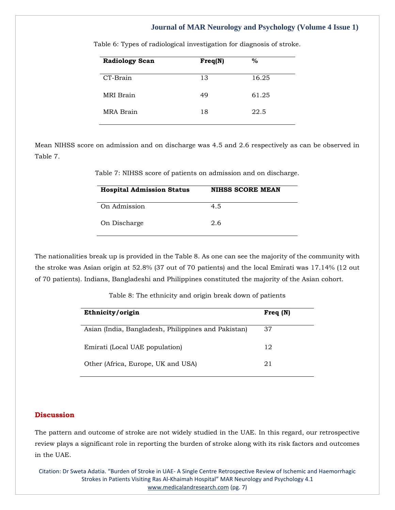| <b>Radiology Scan</b> | Freq(N) | $\%$  |
|-----------------------|---------|-------|
| CT-Brain              | 13      | 16.25 |
| <b>MRI</b> Brain      | 49      | 61.25 |
| MRA Brain             | 18      | 22.5  |

Table 6: Types of radiological investigation for diagnosis of stroke.

Mean NIHSS score on admission and on discharge was 4.5 and 2.6 respectively as can be observed in Table 7.

Table 7: NIHSS score of patients on admission and on discharge.

| <b>Hospital Admission Status</b> | <b>NIHSS SCORE MEAN</b> |
|----------------------------------|-------------------------|
| On Admission                     | 4.5                     |
| On Discharge                     | 2.6                     |

The nationalities break up is provided in the Table 8. As one can see the majority of the community with the stroke was Asian origin at 52.8% (37 out of 70 patients) and the local Emirati was 17.14% (12 out of 70 patients). Indians, Bangladeshi and Philippines constituted the majority of the Asian cohort.

Table 8: The ethnicity and origin break down of patients

| Freq $(N)$ |
|------------|
| 37         |
| 12         |
| 21         |
|            |

## **Discussion**

The pattern and outcome of stroke are not widely studied in the UAE. In this regard, our retrospective review plays a significant role in reporting the burden of stroke along with its risk factors and outcomes in the UAE.

Citation: Dr Sweta Adatia. "Burden of Stroke in UAE- A Single Centre Retrospective Review of Ischemic and Haemorrhagic Strokes in Patients Visiting Ras Al-Khaimah Hospital" MAR Neurology and Psychology 4.1 [www.medicalandresearch.com](http://www.medicalandresearch.com/) (pg. 7)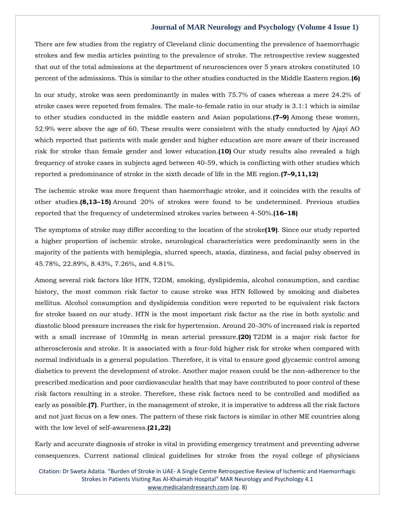There are few studies from the registry of Cleveland clinic documenting the prevalence of haemorrhagic strokes and few media articles pointing to the prevalence of stroke. The retrospective review suggested that out of the total admissions at the department of neurosciences over 5 years strokes constituted 10 percent of the admissions. This is similar to the other studies conducted in the Middle Eastern region.**(6)**

In our study, stroke was seen predominantly in males with 75.7% of cases whereas a mere 24.2% of stroke cases were reported from females. The male-to-female ratio in our study is 3.1:1 which is similar to other studies conducted in the middle eastern and Asian populations.**(7–9)** Among these women, 52.9% were above the age of 60. These results were consistent with the study conducted by Ajayi AO which reported that patients with male gender and higher education are more aware of their increased risk for stroke than female gender and lower education.**(10)** Our study results also revealed a high frequency of stroke cases in subjects aged between 40-59, which is conflicting with other studies which reported a predominance of stroke in the sixth decade of life in the ME region.**(7–9,11,12)**

The ischemic stroke was more frequent than haemorrhagic stroke, and it coincides with the results of other studies.**(8,13–15)** Around 20% of strokes were found to be undetermined. Previous studies reported that the frequency of undetermined strokes varies between 4-50%.**(16–18)**

The symptoms of stroke may differ according to the location of the stroke**(19)**. Since our study reported a higher proportion of ischemic stroke, neurological characteristics were predominantly seen in the majority of the patients with hemiplegia, slurred speech, ataxia, dizziness, and facial palsy observed in 45.78%, 22.89%, 8.43%, 7.26%, and 4.81%.

Among several risk factors like HTN, T2DM, smoking, dyslipidemia, alcohol consumption, and cardiac history, the most common risk factor to cause stroke was HTN followed by smoking and diabetes mellitus. Alcohol consumption and dyslipidemia condition were reported to be equivalent risk factors for stroke based on our study. HTN is the most important risk factor as the rise in both systolic and diastolic blood pressure increases the risk for hypertension. Around 20-30% of increased risk is reported with a small increase of 10mmHg in mean arterial pressure.**(20)** T2DM is a major risk factor for atherosclerosis and stroke. It is associated with a four-fold higher risk for stroke when compared with normal individuals in a general population. Therefore, it is vital to ensure good glycaemic control among diabetics to prevent the development of stroke. Another major reason could be the non-adherence to the prescribed medication and poor cardiovascular health that may have contributed to poor control of these risk factors resulting in a stroke. Therefore, these risk factors need to be controlled and modified as early as possible.**(7)**. Further, in the management of stroke, it is imperative to address all the risk factors and not just focus on a few ones. The pattern of these risk factors is similar in other ME countries along with the low level of self-awareness.**(21,22)**

Early and accurate diagnosis of stroke is vital in providing emergency treatment and preventing adverse consequences. Current national clinical guidelines for stroke from the royal college of physicians

Citation: Dr Sweta Adatia. "Burden of Stroke in UAE- A Single Centre Retrospective Review of Ischemic and Haemorrhagic Strokes in Patients Visiting Ras Al-Khaimah Hospital" MAR Neurology and Psychology 4.1 [www.medicalandresearch.com](http://www.medicalandresearch.com/) (pg. 8)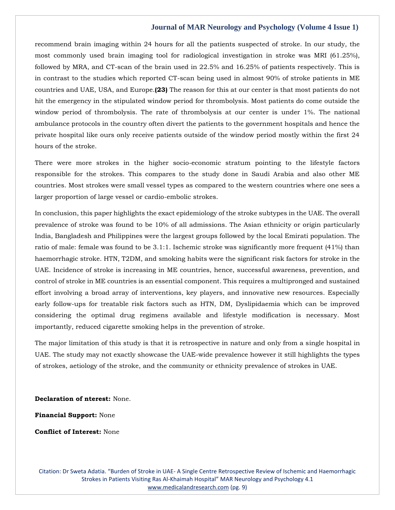recommend brain imaging within 24 hours for all the patients suspected of stroke. In our study, the most commonly used brain imaging tool for radiological investigation in stroke was MRI (61.25%), followed by MRA, and CT-scan of the brain used in 22.5% and 16.25% of patients respectively. This is in contrast to the studies which reported CT-scan being used in almost 90% of stroke patients in ME countries and UAE, USA, and Europe.**(23)** The reason for this at our center is that most patients do not hit the emergency in the stipulated window period for thrombolysis. Most patients do come outside the window period of thrombolysis. The rate of thrombolysis at our center is under 1%. The national ambulance protocols in the country often divert the patients to the government hospitals and hence the private hospital like ours only receive patients outside of the window period mostly within the first 24 hours of the stroke.

There were more strokes in the higher socio-economic stratum pointing to the lifestyle factors responsible for the strokes. This compares to the study done in Saudi Arabia and also other ME countries. Most strokes were small vessel types as compared to the western countries where one sees a larger proportion of large vessel or cardio-embolic strokes.

In conclusion, this paper highlights the exact epidemiology of the stroke subtypes in the UAE. The overall prevalence of stroke was found to be 10% of all admissions. The Asian ethnicity or origin particularly India, Bangladesh and Philippines were the largest groups followed by the local Emirati population. The ratio of male: female was found to be 3.1:1. Ischemic stroke was significantly more frequent (41%) than haemorrhagic stroke. HTN, T2DM, and smoking habits were the significant risk factors for stroke in the UAE. Incidence of stroke is increasing in ME countries, hence, successful awareness, prevention, and control of stroke in ME countries is an essential component. This requires a multipronged and sustained effort involving a broad array of interventions, key players, and innovative new resources. Especially early follow-ups for treatable risk factors such as HTN, DM, Dyslipidaemia which can be improved considering the optimal drug regimens available and lifestyle modification is necessary. Most importantly, reduced cigarette smoking helps in the prevention of stroke.

The major limitation of this study is that it is retrospective in nature and only from a single hospital in UAE. The study may not exactly showcase the UAE-wide prevalence however it still highlights the types of strokes, aetiology of the stroke, and the community or ethnicity prevalence of strokes in UAE.

**Declaration of nterest:** None.

**Financial Support:** None

**Conflict of Interest:** None

Citation: Dr Sweta Adatia. "Burden of Stroke in UAE- A Single Centre Retrospective Review of Ischemic and Haemorrhagic Strokes in Patients Visiting Ras Al-Khaimah Hospital" MAR Neurology and Psychology 4.1 [www.medicalandresearch.com](http://www.medicalandresearch.com/) (pg. 9)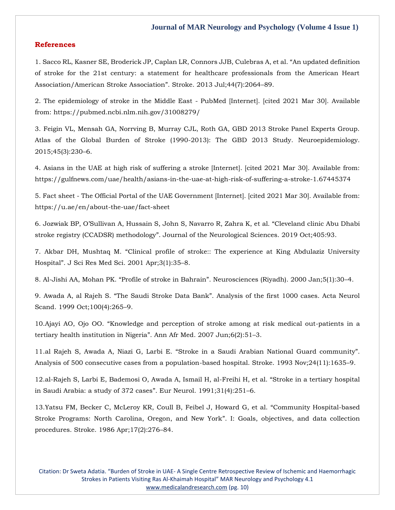## **References**

1. [Sacco RL, Kasner SE, Broderick JP, Caplan LR, Connors JJB, Culebras A, et al.](https://www.google.com/search?q=An+updated+definition+of+stroke+for+the+21st+century%3A+a+statement+for+healthcare+professionals+from+the+American+Heart+Association%2FAmerican+Stroke+Association&oq=An+updated+definition+of+stroke+for+the+21st+century%3A+a+statement+for+healthcare+professionals+from+the+American+Heart+Association%2FAmerican+Stroke+Association&aqs=chrome..69i57.672j0j7&sourceid=chrome&ie=UTF-8) "An updated definition [of stroke for the 21st century: a statement for healthcare professionals from the American Heart](https://www.google.com/search?q=An+updated+definition+of+stroke+for+the+21st+century%3A+a+statement+for+healthcare+professionals+from+the+American+Heart+Association%2FAmerican+Stroke+Association&oq=An+updated+definition+of+stroke+for+the+21st+century%3A+a+statement+for+healthcare+professionals+from+the+American+Heart+Association%2FAmerican+Stroke+Association&aqs=chrome..69i57.672j0j7&sourceid=chrome&ie=UTF-8)  [Association/American Stroke Association](https://www.google.com/search?q=An+updated+definition+of+stroke+for+the+21st+century%3A+a+statement+for+healthcare+professionals+from+the+American+Heart+Association%2FAmerican+Stroke+Association&oq=An+updated+definition+of+stroke+for+the+21st+century%3A+a+statement+for+healthcare+professionals+from+the+American+Heart+Association%2FAmerican+Stroke+Association&aqs=chrome..69i57.672j0j7&sourceid=chrome&ie=UTF-8)". Stroke. 2013 Jul;44(7):2064–89.

2. The epidemiology of stroke in the Middle East - PubMed [Internet]. [cited 2021 Mar 30]. Available from: https://pubmed.ncbi.nlm.nih.gov/31008279/

3. [Feigin VL, Mensah GA, Norrving B, Murray CJL, Roth GA, GBD 2013 Stroke Panel Experts Group.](https://www.google.com/search?q=Atlas+of+the+Global+Burden+of+Stroke+%281990-2013%29%3A+The+GBD+2013+Study&sxsrf=AOaemvLKW9qjC4V4w5XVvHmn5CBtgr_1xg%3A1638961929752&ei=CZOwYfegLaDDz7sPsf6-gAs&ved=0ahUKEwi3yf38iNT0AhWg4XMBHTG_D7AQ4dUDCA4&uact=5&oq=Atlas+of+the+Global+Burden+of+Stroke+%281990-2013%29%3A+The+GBD+2013+Study&gs_lcp=Cgdnd3Mtd2l6EAM6BwgjEOoCECdKBAhBGABKBAhGGABQngdYngdg-QpoAXACeACAAd0BiAHdAZIBAzItMZgBAKABAaABArABCsABAQ&sclient=gws-wiz)  [Atlas of the Global Burden of Stroke \(1990-2013\): The GBD 2013 Study. Neuroepidemiology.](https://www.google.com/search?q=Atlas+of+the+Global+Burden+of+Stroke+%281990-2013%29%3A+The+GBD+2013+Study&sxsrf=AOaemvLKW9qjC4V4w5XVvHmn5CBtgr_1xg%3A1638961929752&ei=CZOwYfegLaDDz7sPsf6-gAs&ved=0ahUKEwi3yf38iNT0AhWg4XMBHTG_D7AQ4dUDCA4&uact=5&oq=Atlas+of+the+Global+Burden+of+Stroke+%281990-2013%29%3A+The+GBD+2013+Study&gs_lcp=Cgdnd3Mtd2l6EAM6BwgjEOoCECdKBAhBGABKBAhGGABQngdYngdg-QpoAXACeACAAd0BiAHdAZIBAzItMZgBAKABAaABArABCsABAQ&sclient=gws-wiz)  [2015;45\(3\):230](https://www.google.com/search?q=Atlas+of+the+Global+Burden+of+Stroke+%281990-2013%29%3A+The+GBD+2013+Study&sxsrf=AOaemvLKW9qjC4V4w5XVvHmn5CBtgr_1xg%3A1638961929752&ei=CZOwYfegLaDDz7sPsf6-gAs&ved=0ahUKEwi3yf38iNT0AhWg4XMBHTG_D7AQ4dUDCA4&uact=5&oq=Atlas+of+the+Global+Burden+of+Stroke+%281990-2013%29%3A+The+GBD+2013+Study&gs_lcp=Cgdnd3Mtd2l6EAM6BwgjEOoCECdKBAhBGABKBAhGGABQngdYngdg-QpoAXACeACAAd0BiAHdAZIBAzItMZgBAKABAaABArABCsABAQ&sclient=gws-wiz)–6.

4. Asians in the UAE at high risk of suffering a stroke [Internet]. [cited 2021 Mar 30]. Available from: https://gulfnews.com/uae/health/asians-in-the-uae-at-high-risk-of-suffering-a-stroke-1.67445374

5. Fact sheet - The Official Portal of the UAE Government [Internet]. [cited 2021 Mar 30]. Available from: https://u.ae/en/about-the-uae/fact-sheet

6. [Jozwiak BP, O'Sullivan A, Hussain S, John S, Navarro R, Zahra K, e](https://www.google.com/search?q=Cleveland+clinic+Abu+Dhabi+stroke+registry+%28CCADSR%29+methodology&sxsrf=AOaemvKWl84qcX9RexuiHh3OikEnE3ovyg%3A1638962057863&ei=iZOwYYOONKqxmAX93LzACg&ved=0ahUKEwjD9oi6idT0AhWqGKYKHX0uD6gQ4dUDCA4&uact=5&oq=Cleveland+clinic+Abu+Dhabi+stroke+registry+%28CCADSR%29+methodology&gs_lcp=Cgdnd3Mtd2l6EAM6BwgjEOoCECdKBAhBGABKBAhGGABQ9gVY9gVg3ghoAXAAeACAAa4CiAGuApIBAzMtMZgBAKABAaABArABCsABAQ&sclient=gws-wiz)t al. "Cleveland clinic Abu Dhabi stroke registry (CCADSR) methodology"[. Journal of the Neurological Sciences. 2019 Oct;405:93.](https://www.google.com/search?q=Cleveland+clinic+Abu+Dhabi+stroke+registry+%28CCADSR%29+methodology&sxsrf=AOaemvKWl84qcX9RexuiHh3OikEnE3ovyg%3A1638962057863&ei=iZOwYYOONKqxmAX93LzACg&ved=0ahUKEwjD9oi6idT0AhWqGKYKHX0uD6gQ4dUDCA4&uact=5&oq=Cleveland+clinic+Abu+Dhabi+stroke+registry+%28CCADSR%29+methodology&gs_lcp=Cgdnd3Mtd2l6EAM6BwgjEOoCECdKBAhBGABKBAhGGABQ9gVY9gVg3ghoAXAAeACAAa4CiAGuApIBAzMtMZgBAKABAaABArABCsABAQ&sclient=gws-wiz)

7. Akbar DH, Mushtaq M. "[Clinical profile of stroke:: The experience at King Abdulaziz University](https://www.google.com/search?q=Clinical+profile+of+stroke%3A%3A+The+experience+at+King+Abdulaziz+University+Hospital&sxsrf=AOaemvJ1TR4gzZdSM1kfoYudhA5jrI3O3w%3A1638962102506&ei=tpOwYcOqHuyLr7wPjLGfwA8&ved=0ahUKEwjD3a3PidT0AhXsxYsBHYzYB_gQ4dUDCA4&uact=5&oq=Clinical+profile+of+stroke%3A%3A+The+experience+at+King+Abdulaziz+University+Hospital&gs_lcp=Cgdnd3Mtd2l6EAM6BwgjEOoCECdKBAhBGABKBAhGGABQ5gVY5gVgsghoAXAAeACAAc0BiAHNAZIBAzItMZgBAKABAaABArABCsABAQ&sclient=gws-wiz)  Hospital"[. J Sci Res Med Sci. 2001 Apr;3\(1\):35](https://www.google.com/search?q=Clinical+profile+of+stroke%3A%3A+The+experience+at+King+Abdulaziz+University+Hospital&sxsrf=AOaemvJ1TR4gzZdSM1kfoYudhA5jrI3O3w%3A1638962102506&ei=tpOwYcOqHuyLr7wPjLGfwA8&ved=0ahUKEwjD3a3PidT0AhXsxYsBHYzYB_gQ4dUDCA4&uact=5&oq=Clinical+profile+of+stroke%3A%3A+The+experience+at+King+Abdulaziz+University+Hospital&gs_lcp=Cgdnd3Mtd2l6EAM6BwgjEOoCECdKBAhBGABKBAhGGABQ5gVY5gVgsghoAXAAeACAAc0BiAHNAZIBAzItMZgBAKABAaABArABCsABAQ&sclient=gws-wiz)–8.

8. Al-Jishi AA, Mohan PK. "Profile of stroke in Bahrain"[. Neurosciences \(Riyadh\). 2000 Jan;5\(1\):30](https://www.google.com/search?q=Profile+of+stroke+in+Bahrain&sxsrf=AOaemvIuo4zBTJmItDk_Kkt-KFxd-ArWqg%3A1638962125615&ei=zZOwYcyBJd-Tr7wPhOaxkAM&ved=0ahUKEwiMnLDaidT0AhXfyYsBHQRzDDIQ4dUDCA4&uact=5&oq=Profile+of+stroke+in+Bahrain&gs_lcp=Cgdnd3Mtd2l6EAM6BwgjEOoCECdKBAhBGABKBAhGGABQ-ApY-ApgphJoAXAAeACAAe4BiAHuAZIBAzItMZgBAKABAaABArABCsABAQ&sclient=gws-wiz)–4.

9. Awada A, al Rajeh S. "The Saudi Stroke Data Bank"[. Analysis of the first 1000 cases. Acta Neurol](https://www.google.com/search?q=The+Saudi+Stroke+Data+Bank&sxsrf=AOaemvIAr1PW12rKoayJPZEKtHMO870PrA%3A1638962161895&ei=8ZOwYdSYNoXUmAWN7JmYCg&ved=0ahUKEwiU1dbridT0AhUFKqYKHQ12BqMQ4dUDCA4&uact=5&oq=The+Saudi+Stroke+Data+Bank&gs_lcp=Cgdnd3Mtd2l6EAM6BwgjEOoCECdKBAhBGABKBAhGGABQugZYugZghgloAXACeACAAb8CiAG_ApIBAzMtMZgBAKABAaABArABCsABAQ&sclient=gws-wiz)  [Scand. 1999 Oct;100\(4\):265](https://www.google.com/search?q=The+Saudi+Stroke+Data+Bank&sxsrf=AOaemvIAr1PW12rKoayJPZEKtHMO870PrA%3A1638962161895&ei=8ZOwYdSYNoXUmAWN7JmYCg&ved=0ahUKEwiU1dbridT0AhUFKqYKHQ12BqMQ4dUDCA4&uact=5&oq=The+Saudi+Stroke+Data+Bank&gs_lcp=Cgdnd3Mtd2l6EAM6BwgjEOoCECdKBAhBGABKBAhGGABQugZYugZghgloAXACeACAAb8CiAG_ApIBAzMtMZgBAKABAaABArABCsABAQ&sclient=gws-wiz)–9.

10.Ajayi AO, Ojo OO. "[Knowledge and perception of stroke among at risk medical out-patients in a](https://www.google.com/search?q=Knowledge+and+perception+of+stroke+among+at+risk+medical+out-patients+in+a+tertiary+health+institution+in+Nigeria&sxsrf=AOaemvK0iNhvCt5GEMCNNuZFuCwkugG0rA%3A1638962196522&ei=FJSwYd-oH4nFmAXn6JOYDg&ved=0ahUKEwjfgpj8idT0AhWJIqYKHWf0BOMQ4dUDCA4&uact=5&oq=Knowledge+and+perception+of+stroke+among+at+risk+medical+out-patients+in+a+tertiary+health+institution+in+Nigeria&gs_lcp=Cgdnd3Mtd2l6EAMyBwgjEOoCECcyBwgjEOoCECcyBwgjEOoCECcyBwgjEOoCECcyBwgjEOoCECcyBwgjEOoCECcyBwgjEOoCECcyBwgjEOoCECcyBwgjEOoCECcyBwgjEOoCECdKBAhBGABKBAhGGABQqAlYqAlggQxoAXAAeACAAQCIAQCSAQCYAQCgAQGgAQKwAQrAAQE&sclient=gws-wiz)  [tertiary health institution in Nigeria](https://www.google.com/search?q=Knowledge+and+perception+of+stroke+among+at+risk+medical+out-patients+in+a+tertiary+health+institution+in+Nigeria&sxsrf=AOaemvK0iNhvCt5GEMCNNuZFuCwkugG0rA%3A1638962196522&ei=FJSwYd-oH4nFmAXn6JOYDg&ved=0ahUKEwjfgpj8idT0AhWJIqYKHWf0BOMQ4dUDCA4&uact=5&oq=Knowledge+and+perception+of+stroke+among+at+risk+medical+out-patients+in+a+tertiary+health+institution+in+Nigeria&gs_lcp=Cgdnd3Mtd2l6EAMyBwgjEOoCECcyBwgjEOoCECcyBwgjEOoCECcyBwgjEOoCECcyBwgjEOoCECcyBwgjEOoCECcyBwgjEOoCECcyBwgjEOoCECcyBwgjEOoCECcyBwgjEOoCECdKBAhBGABKBAhGGABQqAlYqAlggQxoAXAAeACAAQCIAQCSAQCYAQCgAQGgAQKwAQrAAQE&sclient=gws-wiz)". Ann Afr Med. 2007 Jun;6(2):51–3.

11.al Rajeh S, Awada A, Niazi G, Larbi E. "[Stroke in a Saudi Arabian National Guard community](https://www.google.com/search?q=Stroke+in+a+Saudi+Arabian+National+Guard+community&sxsrf=AOaemvJNwxZg56bPiqMDVXa7GdfIQ_0i7w%3A1638962215668&ei=J5SwYZWeKI7W0ATe7o7AAQ&ved=0ahUKEwjVzaiFitT0AhUOK5QKHV63AxgQ4dUDCA4&uact=5&oq=Stroke+in+a+Saudi+Arabian+National+Guard+community&gs_lcp=Cgdnd3Mtd2l6EAM6BwgjEOoCECdKBAhBGABKBAhGGABQ2gVY2gVgxghoAXAAeACAAaMCiAGjApIBAzItMZgBAKABAaABArABCsABAQ&sclient=gws-wiz)". [Analysis of 500 consecutive cases from a population-based hospital. Stroke. 1993 Nov;24\(11\):1635](https://www.google.com/search?q=Stroke+in+a+Saudi+Arabian+National+Guard+community&sxsrf=AOaemvJNwxZg56bPiqMDVXa7GdfIQ_0i7w%3A1638962215668&ei=J5SwYZWeKI7W0ATe7o7AAQ&ved=0ahUKEwjVzaiFitT0AhUOK5QKHV63AxgQ4dUDCA4&uact=5&oq=Stroke+in+a+Saudi+Arabian+National+Guard+community&gs_lcp=Cgdnd3Mtd2l6EAM6BwgjEOoCECdKBAhBGABKBAhGGABQ2gVY2gVgxghoAXAAeACAAaMCiAGjApIBAzItMZgBAKABAaABArABCsABAQ&sclient=gws-wiz)–9.

12[.al-Rajeh S, Larbi E, Bademosi O, Awada A, Ismail H, al-Freihi H, et al.](https://www.google.com/search?q=Stroke+in+a+tertiary+hospital+in+Saudi+Arabia%3A+a+study+of+372+cases&sxsrf=AOaemvKUT8XjpY3wih8bYWJEE_1ArfEkqQ%3A1638962240839&ei=QJSwYd3XMseHr7wP3eSsuAo&ved=0ahUKEwjd96iRitT0AhXHw4sBHV0yC6cQ4dUDCA4&uact=5&oq=Stroke+in+a+tertiary+hospital+in+Saudi+Arabia%3A+a+study+of+372+cases&gs_lcp=Cgdnd3Mtd2l6EAM6BwgjEOoCECdKBAhBGABKBAhGGABQjwZYjwZg3whoAXAAeACAAbECiAGxApIBAzMtMZgBAKABAaABArABCsABAQ&sclient=gws-wiz) "Stroke in a tertiary hospital [in Saudi Arabia: a study of 372 cases](https://www.google.com/search?q=Stroke+in+a+tertiary+hospital+in+Saudi+Arabia%3A+a+study+of+372+cases&sxsrf=AOaemvKUT8XjpY3wih8bYWJEE_1ArfEkqQ%3A1638962240839&ei=QJSwYd3XMseHr7wP3eSsuAo&ved=0ahUKEwjd96iRitT0AhXHw4sBHV0yC6cQ4dUDCA4&uact=5&oq=Stroke+in+a+tertiary+hospital+in+Saudi+Arabia%3A+a+study+of+372+cases&gs_lcp=Cgdnd3Mtd2l6EAM6BwgjEOoCECdKBAhBGABKBAhGGABQjwZYjwZg3whoAXAAeACAAbECiAGxApIBAzMtMZgBAKABAaABArABCsABAQ&sclient=gws-wiz)". Eur Neurol. 1991;31(4):251–6.

13[.Yatsu FM, Becker C, McLeroy KR, Coull B, Feibel J, Howard G, et al.](https://www.google.com/search?q=Community+Hospital-based+Stroke+Programs%3A+North+Carolina%2C+Oregon%2C+and+New+York&sxsrf=AOaemvLYMmABnQgUG6TGOYOTZworYzRiMg%3A1638962264097&ei=WJSwYeGzBayzmAX87orYBQ&ved=0ahUKEwjhv7ScitT0AhWsGaYKHXy3AlsQ4dUDCA4&uact=5&oq=Community+Hospital-based+Stroke+Programs%3A+North+Carolina%2C+Oregon%2C+and+New+York&gs_lcp=Cgdnd3Mtd2l6EAM6BwgjEOoCECdKBAhBGABKBAhGGABQ5AVY5AVguwhoAXACeACAAacCiAGnApIBAzItMZgBAKABAaABArABCsABAQ&sclient=gws-wiz) "Community Hospital-based [Stroke Programs: North Carolina, Oregon, and New York](https://www.google.com/search?q=Community+Hospital-based+Stroke+Programs%3A+North+Carolina%2C+Oregon%2C+and+New+York&sxsrf=AOaemvLYMmABnQgUG6TGOYOTZworYzRiMg%3A1638962264097&ei=WJSwYeGzBayzmAX87orYBQ&ved=0ahUKEwjhv7ScitT0AhWsGaYKHXy3AlsQ4dUDCA4&uact=5&oq=Community+Hospital-based+Stroke+Programs%3A+North+Carolina%2C+Oregon%2C+and+New+York&gs_lcp=Cgdnd3Mtd2l6EAM6BwgjEOoCECdKBAhBGABKBAhGGABQ5AVY5AVguwhoAXACeACAAacCiAGnApIBAzItMZgBAKABAaABArABCsABAQ&sclient=gws-wiz)". I: Goals, objectives, and data collection [procedures. Stroke. 1986 Apr;17\(2\):276](https://www.google.com/search?q=Community+Hospital-based+Stroke+Programs%3A+North+Carolina%2C+Oregon%2C+and+New+York&sxsrf=AOaemvLYMmABnQgUG6TGOYOTZworYzRiMg%3A1638962264097&ei=WJSwYeGzBayzmAX87orYBQ&ved=0ahUKEwjhv7ScitT0AhWsGaYKHXy3AlsQ4dUDCA4&uact=5&oq=Community+Hospital-based+Stroke+Programs%3A+North+Carolina%2C+Oregon%2C+and+New+York&gs_lcp=Cgdnd3Mtd2l6EAM6BwgjEOoCECdKBAhBGABKBAhGGABQ5AVY5AVguwhoAXACeACAAacCiAGnApIBAzItMZgBAKABAaABArABCsABAQ&sclient=gws-wiz)–84.

Citation: Dr Sweta Adatia. "Burden of Stroke in UAE- A Single Centre Retrospective Review of Ischemic and Haemorrhagic Strokes in Patients Visiting Ras Al-Khaimah Hospital" MAR Neurology and Psychology 4.1 [www.medicalandresearch.com](http://www.medicalandresearch.com/) (pg. 10)